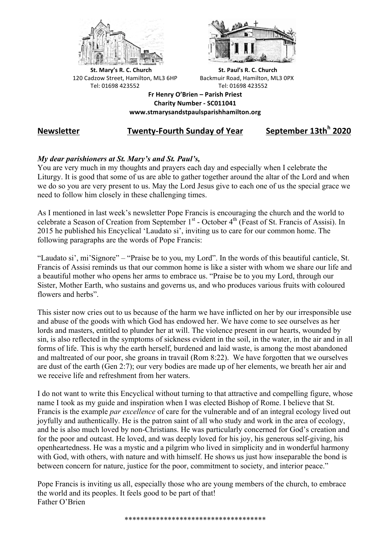



**St.** Mary's R. C. Church St. Paul's R. C. Church 120 Cadzow Street, Hamilton, ML3 6HP Backmuir Road, Hamilton, ML3 0PX Tel: 01698 423552 Tel: 01698 423552

**Fr Henry O'Brien – Parish Priest Charity Number - SC011041 www.stmarysandstpaulsparishhamilton.org**

# **Newsletter Twenty-Fourth Sunday of Year September 13th<sup>h</sup> 2020**

## *My dear parishioners at St. Mary's and St. Paul's,*

You are very much in my thoughts and prayers each day and especially when I celebrate the Liturgy. It is good that some of us are able to gather together around the altar of the Lord and when we do so you are very present to us. May the Lord Jesus give to each one of us the special grace we need to follow him closely in these challenging times.

As I mentioned in last week's newsletter Pope Francis is encouraging the church and the world to celebrate a Season of Creation from September 1<sup>st</sup> - October 4<sup>th</sup> (Feast of St. Francis of Assisi). In 2015 he published his Encyclical 'Laudato si', inviting us to care for our common home. The following paragraphs are the words of Pope Francis:

"Laudato si', mi'Signore" – "Praise be to you, my Lord". In the words of this beautiful canticle, St. Francis of Assisi reminds us that our common home is like a sister with whom we share our life and a beautiful mother who opens her arms to embrace us. "Praise be to you my Lord, through our Sister, Mother Earth, who sustains and governs us, and who produces various fruits with coloured flowers and herbs".

This sister now cries out to us because of the harm we have inflicted on her by our irresponsible use and abuse of the goods with which God has endowed her. We have come to see ourselves as her lords and masters, entitled to plunder her at will. The violence present in our hearts, wounded by sin, is also reflected in the symptoms of sickness evident in the soil, in the water, in the air and in all forms of life. This is why the earth herself, burdened and laid waste, is among the most abandoned and maltreated of our poor, she groans in travail (Rom 8:22). We have forgotten that we ourselves are dust of the earth (Gen 2:7); our very bodies are made up of her elements, we breath her air and we receive life and refreshment from her waters.

I do not want to write this Encyclical without turning to that attractive and compelling figure, whose name I took as my guide and inspiration when I was elected Bishop of Rome. I believe that St. Francis is the example *par excellence* of care for the vulnerable and of an integral ecology lived out joyfully and authentically. He is the patron saint of all who study and work in the area of ecology, and he is also much loved by non-Christians. He was particularly concerned for God's creation and for the poor and outcast. He loved, and was deeply loved for his joy, his generous self-giving, his openheartedness. He was a mystic and a pilgrim who lived in simplicity and in wonderful harmony with God, with others, with nature and with himself. He shows us just how inseparable the bond is between concern for nature, justice for the poor, commitment to society, and interior peace."

Pope Francis is inviting us all, especially those who are young members of the church, to embrace the world and its peoples. It feels good to be part of that! Father O'Brien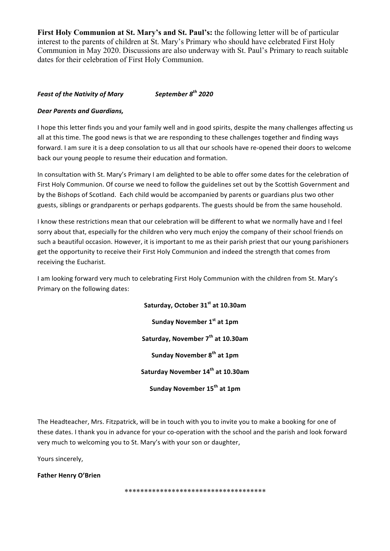**First Holy Communion at St. Mary's and St. Paul's:** the following letter will be of particular interest to the parents of children at St. Mary's Primary who should have celebrated First Holy Communion in May 2020. Discussions are also underway with St. Paul's Primary to reach suitable dates for their celebration of First Holy Communion.

### *Feast of the Nativity of Mary September 8th 2020*

#### *Dear Parents and Guardians,*

I hope this letter finds you and your family well and in good spirits, despite the many challenges affecting us all at this time. The good news is that we are responding to these challenges together and finding ways forward. I am sure it is a deep consolation to us all that our schools have re-opened their doors to welcome back our young people to resume their education and formation.

In consultation with St. Mary's Primary I am delighted to be able to offer some dates for the celebration of First Holy Communion. Of course we need to follow the guidelines set out by the Scottish Government and by the Bishops of Scotland. Each child would be accompanied by parents or guardians plus two other guests, siblings or grandparents or perhaps godparents. The guests should be from the same household.

I know these restrictions mean that our celebration will be different to what we normally have and I feel sorry about that, especially for the children who very much enjoy the company of their school friends on such a beautiful occasion. However, it is important to me as their parish priest that our young parishioners get the opportunity to receive their First Holy Communion and indeed the strength that comes from receiving the Eucharist.

I am looking forward very much to celebrating First Holy Communion with the children from St. Mary's Primary on the following dates:

> **Saturday, October 31st at 10.30am Sunday November 1st at 1pm Saturday, November 7th at 10.30am Sunday November 8th at 1pm Saturday November 14th at 10.30am Sunday November 15th at 1pm**

The Headteacher, Mrs. Fitzpatrick, will be in touch with you to invite you to make a booking for one of these dates. I thank you in advance for your co-operation with the school and the parish and look forward very much to welcoming you to St. Mary's with your son or daughter,

Yours sincerely,

**Father Henry O'Brien** 

\*\*\*\*\*\*\*\*\*\*\*\*\*\*\*\*\*\*\*\*\*\*\*\*\*\*\*\*\*\*\*\*\*\*\*\*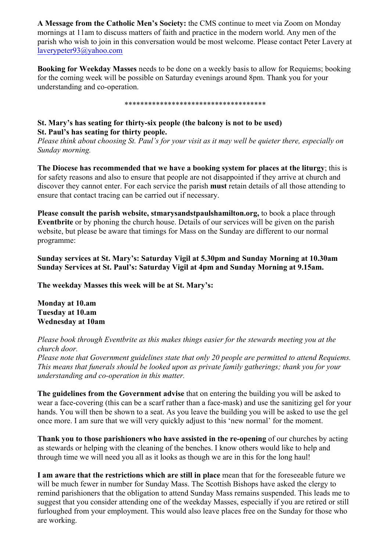**A Message from the Catholic Men's Society:** the CMS continue to meet via Zoom on Monday mornings at 11am to discuss matters of faith and practice in the modern world. Any men of the parish who wish to join in this conversation would be most welcome. Please contact Peter Lavery at laverypeter93@yahoo.com

**Booking for Weekday Masses** needs to be done on a weekly basis to allow for Requiems; booking for the coming week will be possible on Saturday evenings around 8pm. Thank you for your understanding and co-operation.

\*\*\*\*\*\*\*\*\*\*\*\*\*\*\*\*\*\*\*\*\*\*\*\*\*\*\*\*\*\*\*\*\*\*\*\*

## **St. Mary's has seating for thirty-six people (the balcony is not to be used) St. Paul's has seating for thirty people.**

*Please think about choosing St. Paul's for your visit as it may well be quieter there, especially on Sunday morning.*

**The Diocese has recommended that we have a booking system for places at the liturgy**; this is for safety reasons and also to ensure that people are not disappointed if they arrive at church and discover they cannot enter. For each service the parish **must** retain details of all those attending to ensure that contact tracing can be carried out if necessary.

**Please consult the parish website, stmarysandstpaulshamilton.org,** to book a place through **Eventbrite** or by phoning the church house. Details of our services will be given on the parish website, but please be aware that timings for Mass on the Sunday are different to our normal programme:

**Sunday services at St. Mary's: Saturday Vigil at 5.30pm and Sunday Morning at 10.30am Sunday Services at St. Paul's: Saturday Vigil at 4pm and Sunday Morning at 9.15am.**

**The weekday Masses this week will be at St. Mary's:**

**Monday at 10.am Tuesday at 10.am Wednesday at 10am**

*Please book through Eventbrite as this makes things easier for the stewards meeting you at the church door.*

*Please note that Government guidelines state that only 20 people are permitted to attend Requiems. This means that funerals should be looked upon as private family gatherings; thank you for your understanding and co-operation in this matter.*

**The guidelines from the Government advise** that on entering the building you will be asked to wear a face-covering (this can be a scarf rather than a face-mask) and use the sanitizing gel for your hands. You will then be shown to a seat. As you leave the building you will be asked to use the gel once more. I am sure that we will very quickly adjust to this 'new normal' for the moment.

**Thank you to those parishioners who have assisted in the re-opening** of our churches by acting as stewards or helping with the cleaning of the benches. I know others would like to help and through time we will need you all as it looks as though we are in this for the long haul!

**I am aware that the restrictions which are still in place** mean that for the foreseeable future we will be much fewer in number for Sunday Mass. The Scottish Bishops have asked the clergy to remind parishioners that the obligation to attend Sunday Mass remains suspended. This leads me to suggest that you consider attending one of the weekday Masses, especially if you are retired or still furloughed from your employment. This would also leave places free on the Sunday for those who are working.